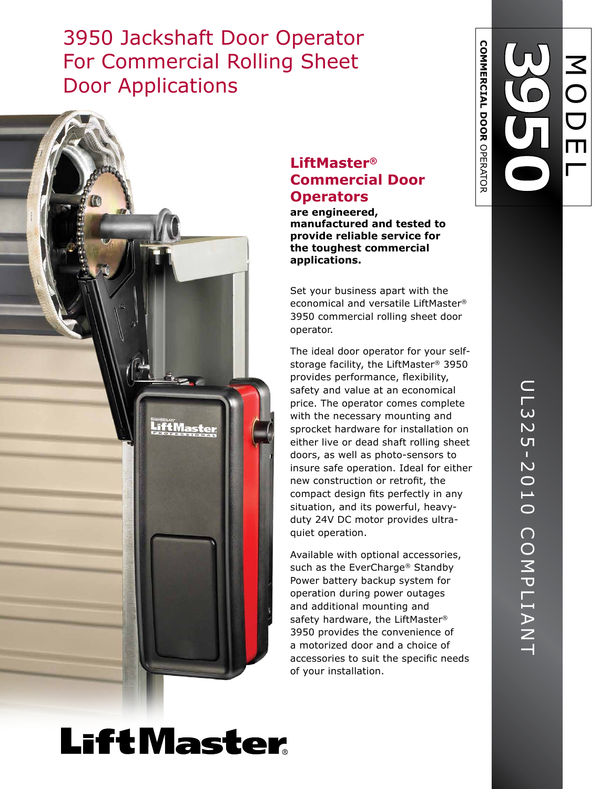## 3950 Jackshaft Door Operator For Commercial Rolling Sheet Door Applications



### **LiftMaster ® Commercial Door Operators**

**are engineered, manufactured and tested to provide reliable service for the toughest commercial applications.**

Set your business apart with the economical and versatile LiftMaster ® 3950 commercial rolling sheet door operator.

The ideal door operator for your selfstorage facility, the LiftMaster® 3950 provides performance, flexibility, safety and value at an economical price. The operator comes complete with the necessary mounting and sprocket hardware for installation on either live or dead shaft rolling sheet doors, as well as photo-sensors to insure safe operation. Ideal for either new construction or retrofit, the compact design fits perfectly in any situation, and its powerful, heavyduty 24V DC motor provides ultraquiet operation.

Available with optional accessories, such as the EverCharge ® Standby Power battery backup system for operation during power outages and additional mounting and safety hardware, the LiftMaster® 3950 provides the convenience of a motorized door and a choice of accessories to suit the specific needs of your installation.

**COMMERCIAL DOOR** 

**COMMERCIAL DOOR OPERATOR** 

OPERATOR

# **LiftMaster**